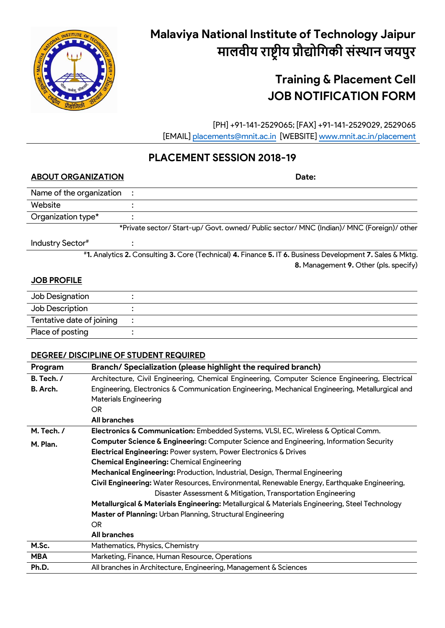

# **Malaviya National Institute of Technology Jaipur मालवीय राष्ट्रीय प्रौद्योगिकी संस्थान जयपुर**

# **Training & Placement Cell JOB NOTIFICATION FORM**

 [PH] +91-141-2529065; [FAX] +91-141-2529029, 2529065 [EMAIL] [placements@mnit.ac.in](mailto:placements@mnit.ac.in) [WEBSITE] [www.mnit.ac.in/placement](http://www.mnit.ac.in/placement)

# **PLACEMENT SESSION 2018-19**

# **ABOUT ORGANIZATION Date:**

Name of the organization :

Website : Organization type\* :

\*Private sector/ Start-up/ Govt. owned/ Public sector/ MNC (Indian)/ MNC (Foreign)/ other

Industry Sector#

# **1.** Analytics **2.** Consulting **3.** Core (Technical) **4.** Finance **5.** IT **6.** Business Development **7.** Sales & Mktg. **8.** Management **9.** Other (pls. specify)

# **JOB PROFILE**

| Job Designation           |  |
|---------------------------|--|
| Job Description           |  |
| Tentative date of joining |  |
| Place of posting          |  |

# **DEGREE/ DISCIPLINE OF STUDENT REQUIRED**

:

| Program                                                          | Branch/Specialization (please highlight the required branch)                                    |  |  |  |
|------------------------------------------------------------------|-------------------------------------------------------------------------------------------------|--|--|--|
| B. Tech. /                                                       | Architecture, Civil Engineering, Chemical Engineering, Computer Science Engineering, Electrical |  |  |  |
| B. Arch.                                                         | Engineering, Electronics & Communication Engineering, Mechanical Engineering, Metallurgical and |  |  |  |
|                                                                  | <b>Materials Engineering</b>                                                                    |  |  |  |
|                                                                  | OR.                                                                                             |  |  |  |
|                                                                  | <b>All branches</b>                                                                             |  |  |  |
| M. Tech. /                                                       | Electronics & Communication: Embedded Systems, VLSI, EC, Wireless & Optical Comm.               |  |  |  |
| M. Plan.                                                         | Computer Science & Engineering: Computer Science and Engineering, Information Security          |  |  |  |
| Electrical Engineering: Power system, Power Electronics & Drives |                                                                                                 |  |  |  |
|                                                                  | <b>Chemical Engineering: Chemical Engineering</b>                                               |  |  |  |
|                                                                  | Mechanical Engineering: Production, Industrial, Design, Thermal Engineering                     |  |  |  |
|                                                                  | Civil Engineering: Water Resources, Environmental, Renewable Energy, Earthquake Engineering,    |  |  |  |
|                                                                  | Disaster Assessment & Mitigation, Transportation Engineering                                    |  |  |  |
|                                                                  | Metallurgical & Materials Engineering: Metallurgical & Materials Engineering, Steel Technology  |  |  |  |
|                                                                  | Master of Planning: Urban Planning, Structural Engineering                                      |  |  |  |
|                                                                  | OR.                                                                                             |  |  |  |
|                                                                  | <b>All branches</b>                                                                             |  |  |  |
| M.Sc.                                                            | Mathematics, Physics, Chemistry                                                                 |  |  |  |
| <b>MBA</b>                                                       | Marketing, Finance, Human Resource, Operations                                                  |  |  |  |
| Ph.D.                                                            | All branches in Architecture, Engineering, Management & Sciences                                |  |  |  |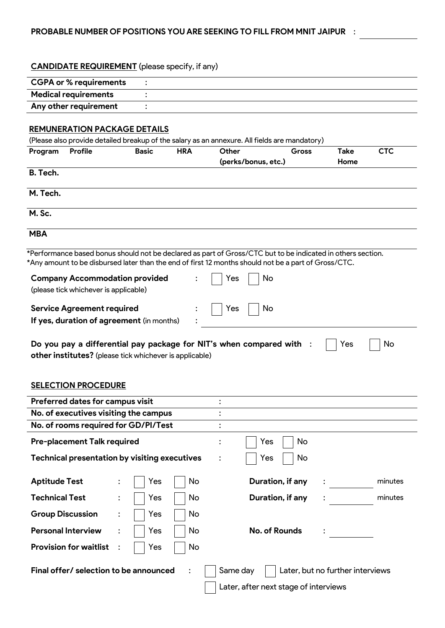#### **CANDIDATE REQUIREMENT** (please specify, if any)

| <b>CGPA or % requirements</b> |  |
|-------------------------------|--|
| <b>Medical requirements</b>   |  |
| Any other requirement         |  |

# **REMUNERATION PACKAGE DETAILS**

| (Please also provide detailed breakup of the salary as an annexure. All fields are mandatory) |         |              |            |                     |              |             |            |
|-----------------------------------------------------------------------------------------------|---------|--------------|------------|---------------------|--------------|-------------|------------|
| Program                                                                                       | Profile | <b>Basic</b> | <b>HRA</b> | Other               | <b>Gross</b> | <b>Take</b> | <b>CTC</b> |
|                                                                                               |         |              |            | (perks/bonus, etc.) |              | Home        |            |
| B. Tech.                                                                                      |         |              |            |                     |              |             |            |
| M. Tech.                                                                                      |         |              |            |                     |              |             |            |
| M. Sc.                                                                                        |         |              |            |                     |              |             |            |
| <b>MBA</b>                                                                                    |         |              |            |                     |              |             |            |

\*Performance based bonus should not be declared as part of Gross/CTC but to be indicated in others section. \*Any amount to be disbursed later than the end of first 12 months should not be a part of Gross/CTC.

| <b>Company Accommodation provided</b><br>(please tick whichever is applicable) |           | $\therefore$     Yes        | $\overline{\phantom{a}}$ No |  |
|--------------------------------------------------------------------------------|-----------|-----------------------------|-----------------------------|--|
| <b>Service Agreement required</b><br>If yes, duration of agreement (in months) | $\bullet$ | $\therefore$     Yes     No |                             |  |

| Do you pay a differential pay package for NIT's when compared with : | $\bigcap$ Yes $\bigcap$ No |  |
|----------------------------------------------------------------------|----------------------------|--|
| other institutes? (please tick whichever is applicable)              |                            |  |

# **SELECTION PROCEDURE**

| Preferred dates for campus visit                     |                |     | ٠   |                |                                       |                                  |
|------------------------------------------------------|----------------|-----|-----|----------------|---------------------------------------|----------------------------------|
| No. of executives visiting the campus                |                |     |     |                |                                       |                                  |
| No. of rooms required for GD/PI/Test                 |                |     |     |                |                                       |                                  |
| <b>Pre-placement Talk required</b>                   |                |     |     | $\ddot{\cdot}$ | Yes<br>No                             |                                  |
| <b>Technical presentation by visiting executives</b> |                |     |     |                | No<br>Yes                             |                                  |
| <b>Aptitude Test</b>                                 | $\ddot{\cdot}$ | Yes | No  |                | Duration, if any                      | minutes                          |
| <b>Technical Test</b>                                | $\ddot{\cdot}$ | Yes | No. |                | Duration, if any                      | minutes                          |
| <b>Group Discussion</b>                              | $\ddot{\cdot}$ | Yes | No  |                |                                       |                                  |
| <b>Personal Interview</b>                            | $\ddot{\cdot}$ | Yes | No  |                | No. of Rounds                         |                                  |
| <b>Provision for waitlist</b>                        |                | Yes | No  |                |                                       |                                  |
| Final offer/ selection to be announced               |                |     |     | Same day       |                                       | Later, but no further interviews |
|                                                      |                |     |     |                | Later, after next stage of interviews |                                  |